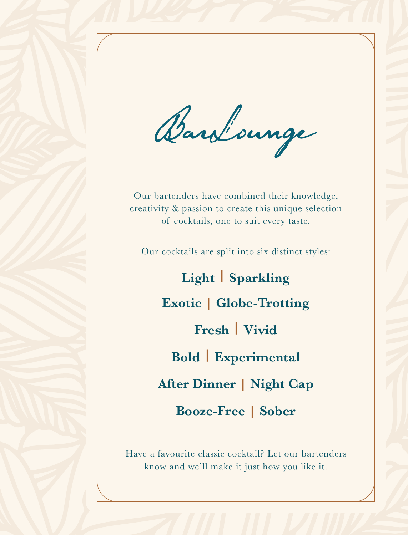Barsbounge

Our bartenders have combined their knowledge, creativity & passion to create this unique selection of cocktails, one to suit every taste.

Our cocktails are split into six distinct styles:

**Light | Sparkling Exotic | Globe-Trotting Fresh | Vivid Bold | Experimental After Dinner | Night Cap Booze-Free | Sober**

Have a favourite classic cocktail? Let our bartenders know and we'll make it just how you like it.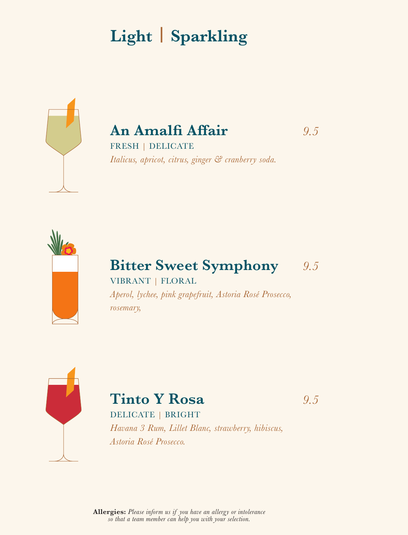# **Light | Sparkling**



### **An Amalfi Affair** *9.5*

FRESH | DELICATE *Italicus, apricot, citrus, ginger & cranberry soda.*



### **Bitter Sweet Symphony** *9.5*

VIBRANT | FLORAL *Aperol, lychee, pink grapefruit, Astoria Rosé Prosecco, rosemary,*



# **Tinto Y Rosa** *9.5*

#### DELICATE | BRIGHT

*Havana 3 Rum, Lillet Blanc, strawberry, hibiscus, Astoria Rosé Prosecco.*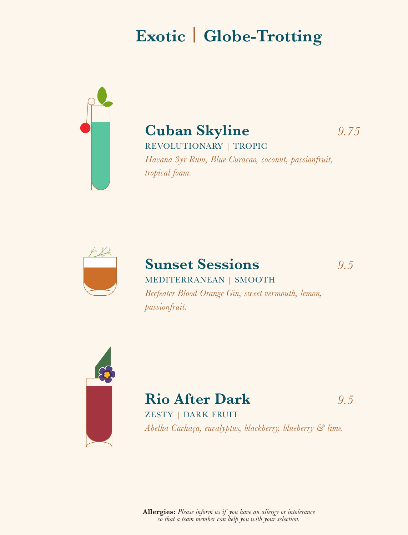# **Exotic | Globe-Trotting**



### **Cuban Skyline** *9.75*

REVOLUTIONARY | TROPIC

*Havana 3yr Rum, Blue Curacao, coconut, passionfruit, tropical foam.*



### **Sunset Sessions** *9.5* MEDITERRANEAN | SMOOTH *Beefeater Blood Orange Gin, sweet vermouth, lemon, passionfruit.*



## **Rio After Dark** *9.5*

ZESTY | DARK FRUIT *Abelha Cachaça, eucalyptus, blackberry, blueberry & lime.*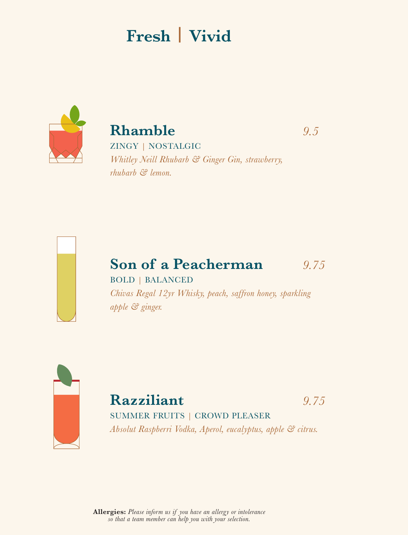## **Fresh | Vivid**



**Rhamble** *9.5* ZINGY | NOSTALGIC

*Whitley Neill Rhubarb & Ginger Gin, strawberry, rhubarb & lemon.* 



# **Son of a Peacherman** *9.75*

BOLD | BALANCED

*Chivas Regal 12yr Whisky, peach, saffron honey, sparkling apple & ginger.*



**Razziliant** *9.75* SUMMER FRUITS | CROWD PLEASER

*Absolut Raspberri Vodka, Aperol, eucalyptus, apple & citrus.*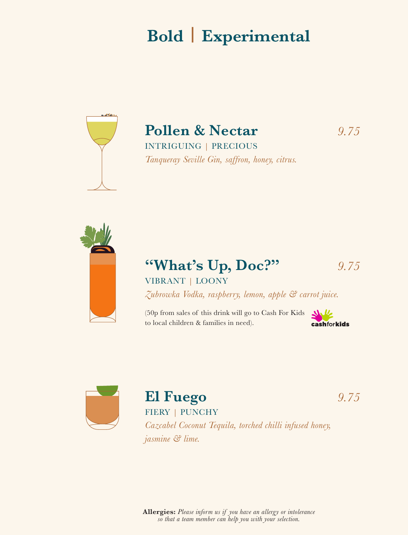## **Bold | Experimental**



# **Pollen & Nectar** *9.75*

INTRIGUING | PRECIOUS *Tanqueray Seville Gin, saffron, honey, citrus.*



## **"What's Up, Doc?"** *9.75*

#### VIBRANT | LOONY

*Zubrowka Vodka, raspberry, lemon, apple & carrot juice.*

(50p from sales of this drink will go to Cash For Kids to local children & families in need).





## **El Fuego** *9.75*

FIERY | PUNCHY

*Cazcabel Coconut Tequila, torched chilli infused honey, jasmine & lime.*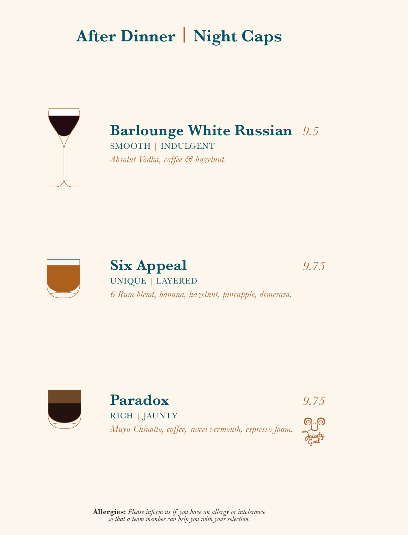# **After Dinner | Night Caps**



**Barlounge White Russian** *9.5* SMOOTH | INDULGENT *Absolut Vodka, coffee & hazelnut.*



**Six Appeal** *9.75* UNIQUE | LAYERED *6 Rum blend, banana, hazelnut, pineapple, demerara.*



**Paradox** *9.75* RICH | JAUNTY *Muyu Chinotto, coffee, sweet vermouth, espresso foam.*

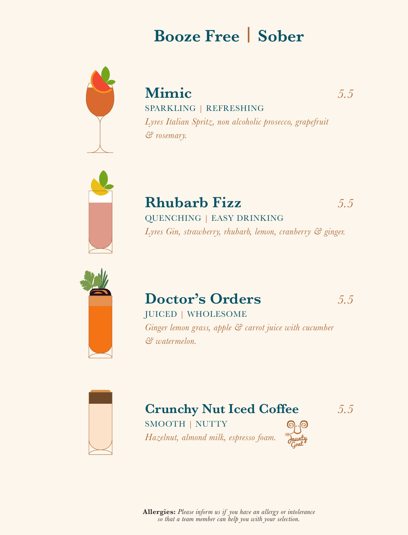## **Booze Free | Sober**



**Mimic** *5.5* SPARKLING | REFRESHING *Lyres Italian Spritz, non alcoholic prosecco, grapefruit & rosemary.*



**Rhubarb Fizz** *5.5* QUENCHING | EASY DRINKING *Lyres Gin, strawberry, rhubarb, lemon, cranberry & ginger.*



### **Doctor's Orders** *5.5*

JUICED | WHOLESOME

*Ginger lemon grass, apple & carrot juice with cucumber & watermelon.*



#### **Crunchy Nut Iced Coffee** *5.5* SMOOTH | NUTTY

*Hazelnut, almond milk, espresso foam.*

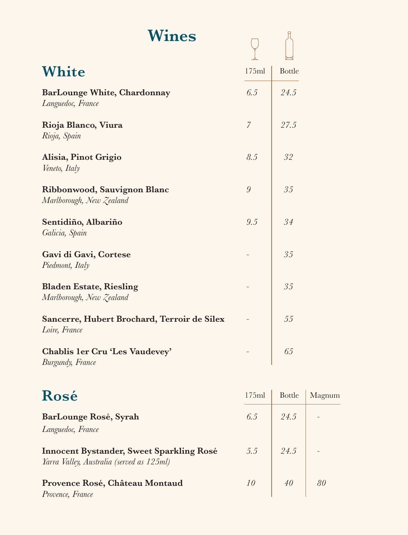| Wines                                                        |       |               |
|--------------------------------------------------------------|-------|---------------|
| <b>White</b>                                                 | 175ml | <b>Bottle</b> |
| <b>BarLounge White, Chardonnay</b><br>Languedoc, France      | 6.5   | 24.5          |
| Rioja Blanco, Viura<br>Rioja, Spain                          | 7     | 27.5          |
| Alisia, Pinot Grigio<br>Veneto, Italy                        | 8.5   | 32            |
| Ribbonwood, Sauvignon Blanc<br>Marlborough, New Zealand      | 9     | 35            |
| Sentidiño, Albariño<br>Galicia, Spain                        | 9.5   | 34            |
| Gavi di Gavi, Cortese<br>Piedmont, Italy                     |       | 35            |
| <b>Bladen Estate, Riesling</b><br>Marlborough, New Zealand   |       | 35            |
| Sancerre, Hubert Brochard, Terroir de Silex<br>Loire, France |       | 55            |
| Chablis 1er Cru 'Les Vaudevey'<br>Burgundy, France           |       | 65            |

| Rosé                                                                                  | 175ml | <b>Bottle</b> | Magnum |
|---------------------------------------------------------------------------------------|-------|---------------|--------|
| BarLounge Rosé, Syrah<br>Languedoc, France                                            | 6.5   | 24.5          |        |
| Innocent Bystander, Sweet Sparkling Rosé<br>Yarra Valley, Australia (served as 125ml) | 5.5   | 24.5          |        |
| Provence Rosé, Château Montaud<br>Provence, France                                    | 10    | 40            | 80     |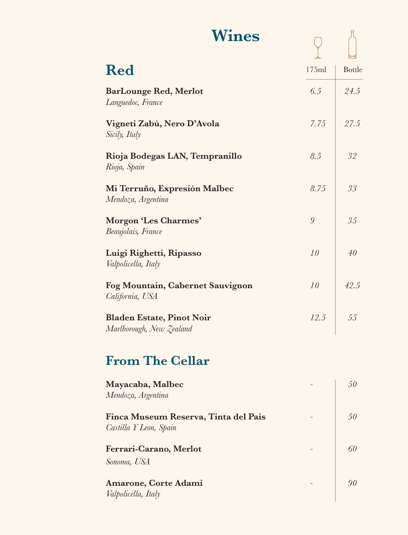| <b>Wines</b>                 |       |               |
|------------------------------|-------|---------------|
| <b>Red</b>                   | 175ml | <b>Bottle</b> |
| <b>BarLounge Red, Merlot</b> | 6.5   | 24.5          |

| Vigneti Zabù, Nero D'Avola | 7.75   27.5 |  |
|----------------------------|-------------|--|
| Sicily, Italy              |             |  |

- **Rioja Bodegas LAN, Tempranillo** *8.5 32 Rioja, Spain* **Mi Terruño, Expresión Malbec** *8.75 33 Mendoza, Argentina*
- **Morgon 'Les Charmes'** *9 35 Beaujolais, France*

*Languedoc, France*

- **Luigi Righetti, Ripasso** *10 40 Valpolicella, Italy*
- **Fog Mountain, Cabernet Sauvignon** *10 42.5 California, USA* **Bladen Estate, Pinot Noir** *12.5 55 Marlborough, New Zealand*

### **From The Cellar**

| Mayacaba, Malbec<br>Mendoza, Argentina                         | 50 |
|----------------------------------------------------------------|----|
| Finca Museum Reserva, Tinta del Pais<br>Castilla Y Leon, Spain | 50 |
| Ferrari-Carano, Merlot<br>Sonoma, USA                          | 60 |
| Amarone, Corte Adami<br>Valpolicella, Italy                    |    |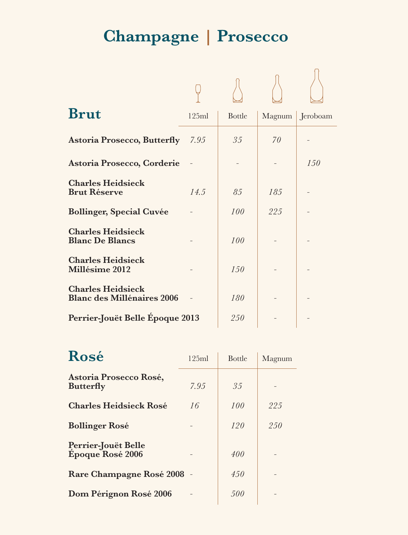# **Champagne** *|* **Prosecco**

| <b>Brut</b>                                                   | 125ml | <b>Bottle</b> | Magnum | Jeroboam |
|---------------------------------------------------------------|-------|---------------|--------|----------|
| <b>Astoria Prosecco, Butterfly</b>                            | 7.95  | 35            | 70     |          |
| Astoria Prosecco, Corderie                                    |       |               |        | 150      |
| <b>Charles Heidsieck</b><br><b>Brut Réserve</b>               | 14.5  | 85            | 185    |          |
| <b>Bollinger, Special Cuvée</b>                               |       | 100           | 22.5   |          |
| <b>Charles Heidsieck</b><br><b>Blanc De Blancs</b>            |       | 100           |        |          |
| <b>Charles Heidsieck</b><br><b>Millésime 2012</b>             |       | 1.50          |        |          |
| <b>Charles Heidsieck</b><br><b>Blanc des Millénaires 2006</b> |       | 180           |        |          |
| Perrier-Jouët Belle Époque 2013                               |       | 250           |        |          |

| Rosé                                       | 125ml | <b>Bottle</b> | Magnum |
|--------------------------------------------|-------|---------------|--------|
| Astoria Prosecco Rosé,<br><b>Butterfly</b> | 7.95  | 35            |        |
| <b>Charles Heidsieck Rosé</b>              | 16    | 100           | 225    |
| <b>Bollinger Rosé</b>                      |       | 120           | 250    |
| Perrier-Jouët Belle<br>Époque Rosé 2006    |       | 400           |        |
| Rare Champagne Rosé 2008 -                 |       | 450           |        |
| Dom Pérignon Rosé 2006                     |       | 500           |        |